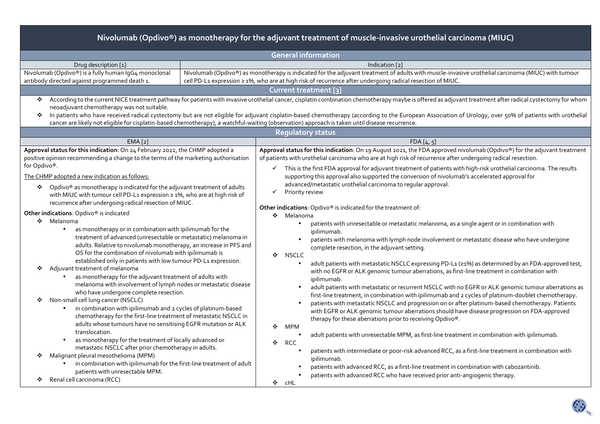| <b>General information</b><br>Drug description [1]<br>Indication [2]<br>Nivolumab (Opdivo®) is a fully human IqG4 monoclonal<br>Nivolumab (Opdivo®) as monotherapy is indicated for the adjuvant treatment of adults with muscle-invasive urothelial carcinoma (MIUC) with tumour | Nivolumab (Opdivo®) as monotherapy for the adjuvant treatment of muscle-invasive urothelial carcinoma (MIUC) |                                                                                                            |                                                                                                                         |  |  |  |  |  |  |
|-----------------------------------------------------------------------------------------------------------------------------------------------------------------------------------------------------------------------------------------------------------------------------------|--------------------------------------------------------------------------------------------------------------|------------------------------------------------------------------------------------------------------------|-------------------------------------------------------------------------------------------------------------------------|--|--|--|--|--|--|
|                                                                                                                                                                                                                                                                                   |                                                                                                              |                                                                                                            |                                                                                                                         |  |  |  |  |  |  |
|                                                                                                                                                                                                                                                                                   |                                                                                                              |                                                                                                            |                                                                                                                         |  |  |  |  |  |  |
|                                                                                                                                                                                                                                                                                   |                                                                                                              |                                                                                                            |                                                                                                                         |  |  |  |  |  |  |
|                                                                                                                                                                                                                                                                                   | antibody directed against programmed death 1.                                                                | cell PD-L1 expression ≥ 1%, who are at high risk of recurrence after undergoing radical resection of MIUC. |                                                                                                                         |  |  |  |  |  |  |
| Current treatment [3]                                                                                                                                                                                                                                                             |                                                                                                              |                                                                                                            |                                                                                                                         |  |  |  |  |  |  |
| According to the current NICE treatment pathway for patients with invasive urothelial cancer, cisplatin combination chemotherapy maybe is offered as adjuvant treatment after radical cystectomy for whom<br>❖                                                                    |                                                                                                              |                                                                                                            |                                                                                                                         |  |  |  |  |  |  |
| neoadjuvant chemotherapy was not suitable.                                                                                                                                                                                                                                        |                                                                                                              |                                                                                                            |                                                                                                                         |  |  |  |  |  |  |
| In patients who have received radical cystectomy but are not eligible for adjuvant cisplatin-based chemotherapy (according to the European Association of Urology, over 50% of patients with urothelial                                                                           |                                                                                                              |                                                                                                            |                                                                                                                         |  |  |  |  |  |  |
| cancer are likely not eligible for cisplatin-based chemotherapy), a watchful-waiting (observation) approach is taken until disease recurrence.                                                                                                                                    |                                                                                                              |                                                                                                            |                                                                                                                         |  |  |  |  |  |  |
| <b>Regulatory status</b>                                                                                                                                                                                                                                                          |                                                                                                              |                                                                                                            |                                                                                                                         |  |  |  |  |  |  |
| EMA <sub>[2]</sub><br>FDA[4, 5]<br>Approval status for this indication: On 24 February 2022, the CHMP adopted a                                                                                                                                                                   |                                                                                                              |                                                                                                            | Approval status for this indication: On 19 August 2021, the FDA approved nivolumab (Opdivo®) for the adjuvant treatment |  |  |  |  |  |  |
| positive opinion recommending a change to the terms of the marketing authorisation<br>of patients with urothelial carcinoma who are at high risk of recurrence after undergoing radical resection.                                                                                |                                                                                                              |                                                                                                            |                                                                                                                         |  |  |  |  |  |  |
| for Opdivo®.<br>This is the first FDA approval for adjuvant treatment of patients with high-risk urothelial carcinoma. The results                                                                                                                                                |                                                                                                              |                                                                                                            |                                                                                                                         |  |  |  |  |  |  |
| supporting this approval also supported the conversion of nivolumab's accelerated approval for<br>The CHMP adopted a new indication as follows:                                                                                                                                   |                                                                                                              |                                                                                                            |                                                                                                                         |  |  |  |  |  |  |
| advanced/metastatic urothelial carcinoma to regular approval.                                                                                                                                                                                                                     |                                                                                                              |                                                                                                            |                                                                                                                         |  |  |  |  |  |  |
| ❖ Opdivo® as monotherapy is indicated for the adjuvant treatment of adults<br>✓<br>Priority review<br>with MIUC with tumour cell PD-L1 expression ≥ 1%, who are at high risk of                                                                                                   |                                                                                                              |                                                                                                            |                                                                                                                         |  |  |  |  |  |  |
| recurrence after undergoing radical resection of MIUC.                                                                                                                                                                                                                            |                                                                                                              |                                                                                                            |                                                                                                                         |  |  |  |  |  |  |
| Other indications: Opdivo® is indicated                                                                                                                                                                                                                                           |                                                                                                              |                                                                                                            | Other indications: Opdivo® is indicated for the treatment of:                                                           |  |  |  |  |  |  |
| ❖ Melanoma<br>❖ Melanoma                                                                                                                                                                                                                                                          |                                                                                                              |                                                                                                            |                                                                                                                         |  |  |  |  |  |  |
| patients with unresectable or metastatic melanoma, as a single agent or in combination with<br>$\bullet$<br>as monotherapy or in combination with ipilimumab for the<br>$\bullet$<br>ipilimumab.                                                                                  |                                                                                                              |                                                                                                            |                                                                                                                         |  |  |  |  |  |  |
| treatment of advanced (unresectable or metastatic) melanoma in<br>patients with melanoma with lymph node involvement or metastatic disease who have undergone                                                                                                                     |                                                                                                              |                                                                                                            |                                                                                                                         |  |  |  |  |  |  |
| adults. Relative to nivolumab monotherapy, an increase in PFS and<br>complete resection, in the adjuvant setting.                                                                                                                                                                 |                                                                                                              |                                                                                                            |                                                                                                                         |  |  |  |  |  |  |
| OS for the combination of nivolumab with ipilimumab is<br>NSCLC<br>❖                                                                                                                                                                                                              |                                                                                                              |                                                                                                            |                                                                                                                         |  |  |  |  |  |  |
| established only in patients with low tumour PD-L1 expression.                                                                                                                                                                                                                    |                                                                                                              |                                                                                                            | adult patients with metastatic NSCLC expressing PD-L1 (≥1%) as determined by an FDA-approved test,                      |  |  |  |  |  |  |
| Adjuvant treatment of melanoma<br>❖<br>with no EGFR or ALK genomic tumour aberrations, as first-line treatment in combination with<br>as monotherapy for the adjuvant treatment of adults with<br>$\bullet$                                                                       |                                                                                                              |                                                                                                            |                                                                                                                         |  |  |  |  |  |  |
| ipilimumab.<br>melanoma with involvement of lymph nodes or metastatic disease                                                                                                                                                                                                     |                                                                                                              |                                                                                                            |                                                                                                                         |  |  |  |  |  |  |
| who have undergone complete resection.                                                                                                                                                                                                                                            |                                                                                                              |                                                                                                            | adult patients with metastatic or recurrent NSCLC with no EGFR or ALK genomic tumour aberrations as                     |  |  |  |  |  |  |
| first-line treatment, in combination with ipilimumab and 2 cycles of platinum-doublet chemotherapy.<br>Non-small cell lung cancer (NSCLC)<br>❖<br>patients with metastatic NSCLC and progression on or after platinum-based chemotherapy. Patients                                |                                                                                                              |                                                                                                            |                                                                                                                         |  |  |  |  |  |  |
| in combination with ipilimumab and 2 cycles of platinum-based<br>with EGFR or ALK genomic tumour aberrations should have disease progression on FDA-approved                                                                                                                      |                                                                                                              |                                                                                                            |                                                                                                                         |  |  |  |  |  |  |
| chemotherapy for the first-line treatment of metastatic NSCLC in<br>therapy for these aberrations prior to receiving Opdivo®.                                                                                                                                                     |                                                                                                              |                                                                                                            |                                                                                                                         |  |  |  |  |  |  |
| adults whose tumours have no sensitising EGFR mutation or ALK<br><b>MPM</b><br>❖                                                                                                                                                                                                  |                                                                                                              |                                                                                                            |                                                                                                                         |  |  |  |  |  |  |
| translocation.<br>adult patients with unresectable MPM, as first-line treatment in combination with ipilimumab.                                                                                                                                                                   |                                                                                                              |                                                                                                            |                                                                                                                         |  |  |  |  |  |  |
| as monotherapy for the treatment of locally advanced or<br>❖<br>RCC<br>metastatic NSCLC after prior chemotherapy in adults.                                                                                                                                                       |                                                                                                              |                                                                                                            |                                                                                                                         |  |  |  |  |  |  |
| patients with intermediate or poor-risk advanced RCC, as a first-line treatment in combination with<br>Malignant pleural mesothelioma (MPM)<br>❖                                                                                                                                  |                                                                                                              |                                                                                                            |                                                                                                                         |  |  |  |  |  |  |
| ipilimumab.<br>in combination with ipilimumab for the first-line treatment of adult<br>patients with advanced RCC, as a first-line treatment in combination with cabozantinib.                                                                                                    |                                                                                                              |                                                                                                            |                                                                                                                         |  |  |  |  |  |  |
| patients with unresectable MPM.<br>patients with advanced RCC who have received prior anti-angiogenic therapy.                                                                                                                                                                    |                                                                                                              |                                                                                                            |                                                                                                                         |  |  |  |  |  |  |
| Renal cell carcinoma (RCC)<br>❖<br>❖ cHL                                                                                                                                                                                                                                          |                                                                                                              |                                                                                                            |                                                                                                                         |  |  |  |  |  |  |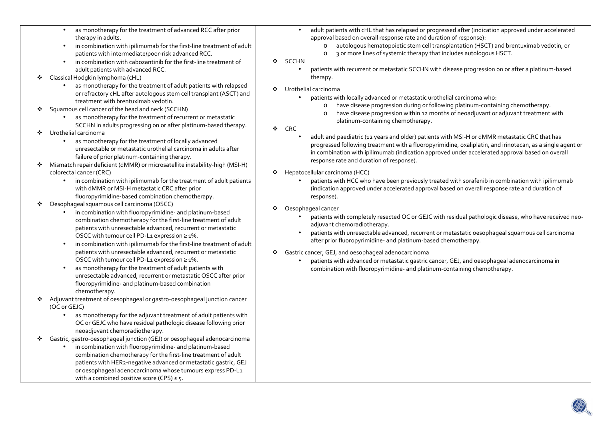- • as monotherapy for the treatment of advanced RCC after prior therapy in adults.
- •in combination with ipilimumab for the first-line treatment of adult patients with intermediate/poor-risk advanced RCC.
- • in combination with cabozantinib for the first-line treatment of adult patients with advanced RCC.
- $\bullet$  Classical Hodgkin lymphoma (cHL)
	- • as monotherapy for the treatment of adult patients with relapsed or refractory cHL after autologous stem cell transplant (ASCT) and treatment with brentuximab vedotin.
- $\mathcal{L}(\mathbf{r})$  Squamous cell cancer of the head and neck (SCCHN)
	- • as monotherapy for the treatment of recurrent or metastatic SCCHN in adults progressing on or after platinum-based therapy.
- ◆ Urothelial carcinoma
	- • as monotherapy for the treatment of locally advanced unresectable or metastatic urothelial carcinoma in adults after failure of prior platinum-containing therapy.
- ❖ Mismatch repair deficient (dMMR) or microsatellite instability-high (MSI-H)<br>celeratel sanser (CBC) colorectal cancer (CRC)
	- in combination with ipilimumab for the treatment of adult patients with dMMR or MSI-H metastatic CRC after prior fluoropyrimidine‑based combination chemotherapy.
- $\mathcal{L}_{\mathcal{F}}$  Oesophageal squamous cell carcinoma (OSCC)
	- • in combination with fluoropyrimidine- and platinum-based combination chemotherapy for the first-line treatment of adult patients with unresectable advanced, recurrent or metastatic OSCC with tumour cell PD-L1 expression ≥ 1%.
	- • in combination with ipilimumab for the first-line treatment of adult patients with unresectable advanced, recurrent or metastatic OSCC with tumour cell PD-L1 expression ≥ 1%.
	- $\bullet$  as monotherapy for the treatment of adult patients with unresectable advanced, recurrent or metastatic OSCC after prior fluoropyrimidine- and platinum-based combination chemotherapy.
- ◆ Adjuvant treatment of oesophageal or gastro-oesophageal junction cancer<br>(OC ex GEIC) (OC or GEJC)
	- • as monotherapy for the adjuvant treatment of adult patients with OC or GEJC who have residual pathologic disease following prior neoadjuvant chemoradiotherapy.
- $\frac{1}{2}$  Gastric, gastro‑oesophageal junction (GEJ) or oesophageal adenocarcinoma
	- in combination with fluoropyrimidine- and platinum-based combination chemotherapy for the first-line treatment of adult patients with HER2‑negative advanced or metastatic gastric, GEJ or oesophageal adenocarcinoma whose tumours express PD-L1 with a combined positive score (CPS)  $\geq$  5.
- $\bullet$  adult patients with cHL that has relapsed or progressed after (indication approved under accelerated approval based on overall response rate and duration of response):
	- o autologous hematopoietic stem cell transplantation (HSCT) and brentuximab vedotin, or
	- o 3 or more lines of systemic therapy that includes autologous HSCT.
- ❖ SCCHN
	- • patients with recurrent or metastatic SCCHN with disease progression on or after a platinum-based therapy.
- ◆ Urothelial carcinoma<br>intervit
	- • patients with locally advanced or metastatic urothelial carcinoma who:
		- ohave disease progression during or following platinum-containing chemotherapy.
		- o have disease progression within 12 months of neoadjuvant or adjuvant treatment with platinum-containing chemotherapy.
- $\bullet$  CRC
	- • adult and paediatric (12 years and older) patients with MSI-H or dMMR metastatic CRC that has progressed following treatment with a fluoropyrimidine, oxaliplatin, and irinotecan, as a single agent or in combination with ipilimumab (indication approved under accelerated approval based on overall response rate and duration of response).
- ◆ Hepatocellular carcinoma (HCC)<br>antionta with HCC who
	- • patients with HCC who have been previously treated with sorafenib in combination with ipilimumab (indication approved under accelerated approval based on overall response rate and duration of response).
- ◆ Oesophageal cancer
	- • patients with completely resected OC or GEJC with residual pathologic disease, who have received neoadjuvant chemoradiotherapy.
	- • patients with unresectable advanced, recurrent or metastatic oesophageal squamous cell carcinoma after prior fluoropyrimidine- and platinum-based chemotherapy.
- Gastric cancer, GEJ, and oesophageal adenocarcinoma
	- • patients with advanced or metastatic gastric cancer, GEJ, and oesophageal adenocarcinoma in combination with fluoropyrimidine- and platinum-containing chemotherapy.

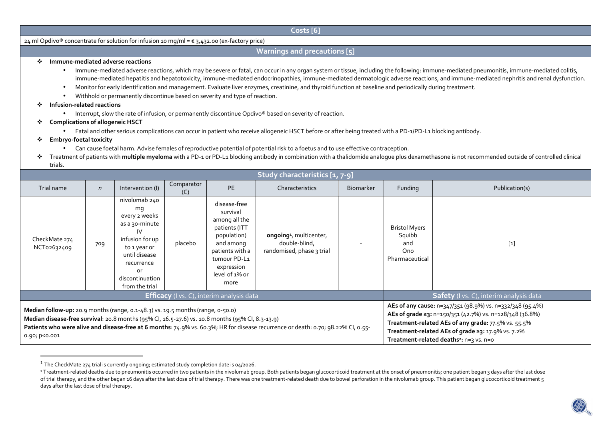**Costs [6]**

24 ml Opdivo® concentrate for solution for infusion 10 mg/ml = € 3,432.00 (ex-factory price)

## **Warnings and precautions [5]**

## $\mathcal{L}_{\mathcal{C}}$ **Immune-mediated adverse reactions**

- Immune-mediated adverse reactions, which may be severe or fatal, can occur in any organ system or tissue, including the following: immune-mediated pneumonitis, immune-mediated colitis, immune-mediated hepatitis and hepatotoxicity, immune-mediated endocrinopathies, immune-mediated dermatologic adverse reactions, and immune-mediated nephritis and renal dysfunction.
- Monitor for early identification and management. Evaluate liver enzymes, creatinine, and thyroid function at baseline and periodically during treatment.
- •Withhold or permanently discontinue based on severity and type of reaction.

## $\bullet$ **Infusion-related reactions**

- $\bullet$  Interrupt, slow the rate of infusion, or permanently discontinue Opdivo® based on severity of reaction.
- **Complications of allogeneic HSCT** 
	- Fatal and other serious complications can occur in patient who receive allogeneic HSCT before or after being treated with a PD-1/PD-L1 blocking antibody.
- ❖ **Embryo-foetal toxicity** 
	- Can cause foetal harm. Advise females of reproductive potential of potential risk to a foetus and to use effective contraception.
- \* Treatment of patients with **multiple myeloma** with a PD-1 or PD-L1 blocking antibody in combination with a thalidomide analogue plus dexamethasone is not recommended outside of controlled clinical<br>trials trials.

| Study characteristics [1, 7-9]                                                                                                                                                                                                                                                                                                                         |            |                                                                                                                                                                           |                   |                                                                                                                                                                   |                                                                                   |                                                                                                                                                                                                                                                                                          |                                                                |                                         |
|--------------------------------------------------------------------------------------------------------------------------------------------------------------------------------------------------------------------------------------------------------------------------------------------------------------------------------------------------------|------------|---------------------------------------------------------------------------------------------------------------------------------------------------------------------------|-------------------|-------------------------------------------------------------------------------------------------------------------------------------------------------------------|-----------------------------------------------------------------------------------|------------------------------------------------------------------------------------------------------------------------------------------------------------------------------------------------------------------------------------------------------------------------------------------|----------------------------------------------------------------|-----------------------------------------|
| Trial name                                                                                                                                                                                                                                                                                                                                             | $\sqrt{n}$ | Intervention (I)                                                                                                                                                          | Comparator<br>(C) | <b>PE</b>                                                                                                                                                         | Characteristics                                                                   | <b>Biomarker</b>                                                                                                                                                                                                                                                                         | Funding                                                        | Publication(s)                          |
| CheckMate 274<br>NCT02632409                                                                                                                                                                                                                                                                                                                           | 709        | nivolumab 240<br>mq<br>every 2 weeks<br>as a 30-minute<br>IV<br>infusion for up<br>to 1 year or<br>until disease<br>recurrence<br>or<br>discontinuation<br>from the trial | placebo           | disease-free<br>survival<br>among all the<br>patients (ITT<br>population)<br>and among<br>patients with a<br>tumour PD-L1<br>expression<br>level of 1% or<br>more | ongoing <sup>1</sup> , multicenter,<br>double-blind,<br>randomised, phase 3 trial |                                                                                                                                                                                                                                                                                          | <b>Bristol Myers</b><br>Squibb<br>and<br>Ono<br>Pharmaceutical | $[1]$                                   |
| <b>Efficacy</b> (I vs. C), interim analysis data                                                                                                                                                                                                                                                                                                       |            |                                                                                                                                                                           |                   |                                                                                                                                                                   |                                                                                   |                                                                                                                                                                                                                                                                                          |                                                                | Safety (I vs. C), interim analysis data |
| <b>Median follow-up:</b> 20.9 months (range, $0.1-48.3$ ) vs. 19.5 months (range, $0.50.0$ )<br>Median disease-free survival: 20.8 months (95% Cl, 16.5-27.6) vs. 10.8 months (95% Cl, 8.3-13.9)<br>Patients who were alive and disease-free at 6 months: 74.9% vs. 60.3%; HR for disease recurrence or death: 0.70; 98.22% CI, 0.55-<br>0.90; p<0.001 |            |                                                                                                                                                                           |                   |                                                                                                                                                                   |                                                                                   | AEs of any cause: n=347/351 (98.9%) vs. n=332/348 (95.4%)<br>AEs of grade ≥3: n=150/351 (42.7%) vs. n=128/348 (36.8%)<br>Treatment-related AEs of any grade: 77.5% vs. 55.5%<br>Treatment-related AEs of grade ≥3: 17.9% vs. 7.2%<br>Treatment-related deaths <sup>2</sup> : n=3 vs. n=0 |                                                                |                                         |

 $^{\rm 1}$  The CheckMate 274 trial is currently ongoing; estimated study completion date is 04/2026.

<sup>&</sup>lt;sup>2</sup> Treatment-related deaths due to pneumonitis occurred in two patients in the nivolumab group. Both patients began glucocorticoid treatment at the onset of pneumonitis; one patient began 3 days after the last dose of trial therapy, and the other began 16 days after the last dose of trial therapy. There was one treatment-related death due to bowel perforation in the nivolumab group. This patient began glucocorticoid treatment 5 days after the last dose of trial therapy.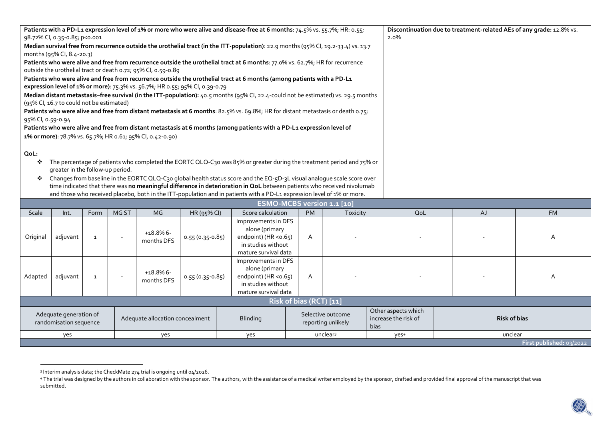| Patients with a PD-L1 expression level of 1% or more who were alive and disease-free at 6 months: 74.5% vs. 55.7%; HR: 0.55;                                                                                                                           |                                          |              |       |                                                           |                                                                              |                                                                                                                                    |           | Discontinuation due to treatment-related AEs of any grade: 12.8% vs. |      |    |           |
|--------------------------------------------------------------------------------------------------------------------------------------------------------------------------------------------------------------------------------------------------------|------------------------------------------|--------------|-------|-----------------------------------------------------------|------------------------------------------------------------------------------|------------------------------------------------------------------------------------------------------------------------------------|-----------|----------------------------------------------------------------------|------|----|-----------|
| 98.72% Cl, 0.35-0.85; p<0.001                                                                                                                                                                                                                          |                                          |              |       |                                                           |                                                                              |                                                                                                                                    |           |                                                                      | 2.0% |    |           |
| Median survival free from recurrence outside the urothelial tract (in the ITT-population): 22.9 months (95% CI, 19.2-33.4) vs. 13.7                                                                                                                    |                                          |              |       |                                                           |                                                                              |                                                                                                                                    |           |                                                                      |      |    |           |
| months (95% CI, 8.4-20.3)                                                                                                                                                                                                                              |                                          |              |       |                                                           |                                                                              |                                                                                                                                    |           |                                                                      |      |    |           |
| Patients who were alive and free from recurrence outside the urothelial tract at 6 months: 77.0% vs. 62.7%; HR for recurrence                                                                                                                          |                                          |              |       |                                                           |                                                                              |                                                                                                                                    |           |                                                                      |      |    |           |
| outside the urothelial tract or death 0.72; 95% CI, 0.59-0.89                                                                                                                                                                                          |                                          |              |       |                                                           |                                                                              |                                                                                                                                    |           |                                                                      |      |    |           |
| Patients who were alive and free from recurrence outside the urothelial tract at 6 months (among patients with a PD-L1                                                                                                                                 |                                          |              |       |                                                           |                                                                              |                                                                                                                                    |           |                                                                      |      |    |           |
|                                                                                                                                                                                                                                                        |                                          |              |       |                                                           | expression level of 1% or more): 75.3% vs. 56.7%; HR 0.55; 95% CI, 0.39-0.79 |                                                                                                                                    |           |                                                                      |      |    |           |
|                                                                                                                                                                                                                                                        |                                          |              |       |                                                           |                                                                              | Median distant metastasis-free survival (in the ITT-population): 40.5 months (95% CI, 22.4-could not be estimated) vs. 29.5 months |           |                                                                      |      |    |           |
|                                                                                                                                                                                                                                                        | (95% CI, 16.7 to could not be estimated) |              |       |                                                           |                                                                              |                                                                                                                                    |           |                                                                      |      |    |           |
|                                                                                                                                                                                                                                                        |                                          |              |       |                                                           |                                                                              | Patients who were alive and free from distant metastasis at 6 months: 82.5% vs. 69.8%; HR for distant metastasis or death 0.75;    |           |                                                                      |      |    |           |
| 95% CI, 0.59-0.94                                                                                                                                                                                                                                      |                                          |              |       |                                                           |                                                                              |                                                                                                                                    |           |                                                                      |      |    |           |
|                                                                                                                                                                                                                                                        |                                          |              |       |                                                           |                                                                              | Patients who were alive and free from distant metastasis at 6 months (among patients with a PD-L1 expression level of              |           |                                                                      |      |    |           |
|                                                                                                                                                                                                                                                        |                                          |              |       | 1% or more): 78.7% vs. 65.7%; HR 0.61; 95% CI, 0.42-0.90) |                                                                              |                                                                                                                                    |           |                                                                      |      |    |           |
|                                                                                                                                                                                                                                                        |                                          |              |       |                                                           |                                                                              |                                                                                                                                    |           |                                                                      |      |    |           |
| QoL:                                                                                                                                                                                                                                                   |                                          |              |       |                                                           |                                                                              |                                                                                                                                    |           |                                                                      |      |    |           |
| The percentage of patients who completed the EORTC QLQ-C30 was 85% or greater during the treatment period and 75% or<br>❖                                                                                                                              |                                          |              |       |                                                           |                                                                              |                                                                                                                                    |           |                                                                      |      |    |           |
| greater in the follow-up period.                                                                                                                                                                                                                       |                                          |              |       |                                                           |                                                                              |                                                                                                                                    |           |                                                                      |      |    |           |
| Changes from baseline in the EORTC QLQ-C30 global health status score and the EQ-5D-3L visual analogue scale score over<br>❖<br>time indicated that there was no meaningful difference in deterioration in QoL between patients who received nivolumab |                                          |              |       |                                                           |                                                                              |                                                                                                                                    |           |                                                                      |      |    |           |
| and those who received placebo, both in the ITT-population and in patients with a PD-L1 expression level of 1% or more.                                                                                                                                |                                          |              |       |                                                           |                                                                              |                                                                                                                                    |           |                                                                      |      |    |           |
|                                                                                                                                                                                                                                                        |                                          |              |       |                                                           |                                                                              | <b>ESMO-MCBS version 1.1 [10]</b>                                                                                                  |           |                                                                      |      |    |           |
|                                                                                                                                                                                                                                                        | Int.                                     | Form         | MG ST | <b>MG</b>                                                 |                                                                              | Score calculation                                                                                                                  | <b>PM</b> |                                                                      | QoL  | AJ | <b>FM</b> |
| Scale                                                                                                                                                                                                                                                  |                                          |              |       |                                                           | HR (95% CI)                                                                  | Improvements in DFS                                                                                                                |           | Toxicity                                                             |      |    |           |
|                                                                                                                                                                                                                                                        |                                          | $\mathbf{1}$ |       | $+18.8%6-$<br>months DFS                                  | $0.55(0.35-0.85)$                                                            | alone (primary                                                                                                                     |           |                                                                      |      |    |           |
| adjuvant<br>Original                                                                                                                                                                                                                                   |                                          |              |       |                                                           |                                                                              | endpoint) (HR < 0.65)                                                                                                              | A         |                                                                      |      |    | A         |
|                                                                                                                                                                                                                                                        |                                          |              |       |                                                           |                                                                              | in studies without                                                                                                                 |           |                                                                      |      |    |           |
|                                                                                                                                                                                                                                                        |                                          |              |       |                                                           | mature survival data                                                         |                                                                                                                                    |           |                                                                      |      |    |           |
|                                                                                                                                                                                                                                                        |                                          |              |       |                                                           |                                                                              | Improvements in DFS                                                                                                                |           |                                                                      |      |    |           |
|                                                                                                                                                                                                                                                        |                                          | $\mathbf{1}$ |       | $+18.8%6-$                                                | $0.55(0.35-0.85)$                                                            | alone (primary                                                                                                                     |           |                                                                      |      |    |           |
| Adapted                                                                                                                                                                                                                                                | adjuvant                                 |              |       |                                                           |                                                                              | endpoint) (HR < 0.65)                                                                                                              | A         |                                                                      |      |    | A         |
|                                                                                                                                                                                                                                                        |                                          |              |       | months DFS                                                |                                                                              | in studies without                                                                                                                 |           |                                                                      |      |    |           |
|                                                                                                                                                                                                                                                        |                                          |              |       |                                                           | mature survival data                                                         |                                                                                                                                    |           |                                                                      |      |    |           |

| Risk of bias (RCT) [11]                          |                                 |                 |                                         |                                                     |                            |  |  |  |
|--------------------------------------------------|---------------------------------|-----------------|-----------------------------------------|-----------------------------------------------------|----------------------------|--|--|--|
| Adequate generation of<br>randomisation sequence | Adequate allocation concealment | <b>Blinding</b> | Selective outcome<br>reporting unlikely | Other aspects which<br>increase the risk of<br>bias | <b>Risk of bias</b>        |  |  |  |
| ves                                              | ves                             | ves             | unclear <sup>3</sup>                    | yes <sup>4</sup>                                    | unclear                    |  |  |  |
|                                                  |                                 |                 |                                         |                                                     | First published: $03/2022$ |  |  |  |
|                                                  |                                 |                 |                                         |                                                     |                            |  |  |  |

<sup>3</sup> Interim analysis data; the CheckMate 274 trial is ongoing until 04/2026.

<sup>4</sup> The trial was designed by the authors in collaboration with the sponsor. The authors, with the assistance of a medical writer employed by the sponsor, drafted and provided final approval of the manuscript that was submitted.